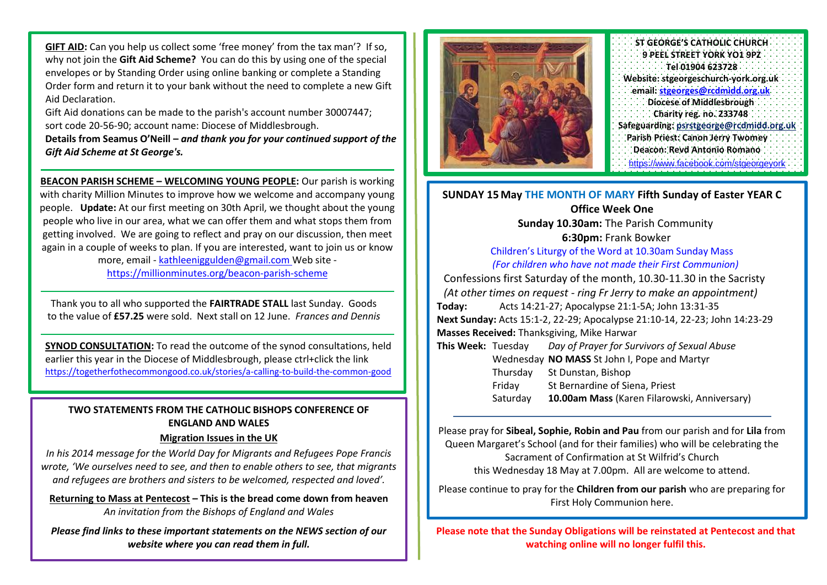**GIFT AID:** Can you help us collect some 'free money' from the tax man'? If so, why not join the **Gift Aid Scheme?** You can do this by using one of the special envelopes or by Standing Order using online banking or complete a Standing Order form and return it to your bank without the need to complete a new Gift Aid Declaration.

Gift Aid donations can be made to the parish's account number 30007447; sort code 20-56-90; account name: Diocese of Middlesbrough.

**Details from Seamus O'Neill –** *and thank you for your continued support of the Gift Aid Scheme at St George's.*

**BEACON PARISH SCHEME – WELCOMING YOUNG PEOPLE:** Our parish is working with charity Million Minutes to improve how we welcome and accompany young people. **Update:** At our first meeting on 30th April, we thought about the young people who live in our area, what we can offer them and what stops them from getting involved. We are going to reflect and pray on our discussion, then meet again in a couple of weeks to plan. If you are interested, want to join us or know

more, email - [kathleeniggulden@gmail.com](mailto:kathleeniggulden@gmail.com) Web site <https://millionminutes.org/beacon-parish-scheme>

Thank you to all who supported the **FAIRTRADE STALL** last Sunday. Goods to the value of **£57.25** were sold. Next stall on 12 June. *Frances and Dennis*

**SYNOD CONSULTATION:** To read the outcome of the synod consultations, held earlier this year in the Diocese of Middlesbrough, please ctrl+click the link <https://togetherfothecommongood.co.uk/stories/a-calling-to-build-the-common-good>

## **TWO STATEMENTS FROM THE CATHOLIC BISHOPS CONFERENCE OF ENGLAND AND WALES**

## **Migration Issues in the UK**

*In his 2014 message for the World Day for Migrants and Refugees Pope Francis wrote, 'We ourselves need to see, and then to enable others to see, that migrants and refugees are brothers and sisters to be welcomed, respected and loved'.*

**Returning to Mass at Pentecost – This is the bread come down from heaven** *An invitation from the Bishops of England and Wales*

*Please find links to these important statements on the NEWS section of our website where you can read them in full.*



| ST GEORGE'S CATHOLIC CHURCH              |
|------------------------------------------|
| 9 PEEL STREET YORK YO1 9PZ               |
| Tel 01904 623728                         |
| Website: stgeorgeschurch-vork.org.uk     |
| email: stgeorges@rcdmidd.org.uk          |
| Diocese of Middlesbrough                 |
| Charity reg. no. 233748                  |
| Safeguarding: psrstgeorge@rcdmidd.org.uk |
| Parish Priest: Canon Jerry Twomey        |
| Deacon: Revd Antonio Romano              |
| https://www.facebook.com/stgeorgevork    |

## **SUNDAY 15 May THE MONTH OF MARY Fifth Sunday of Easter YEAR C Office Week One**

**Sunday 10.30am:** The Parish Community **6:30pm:** Frank Bowker

Children's Liturgy of the Word at 10.30am Sunday Mass *(For children who have not made their First Communion)* Confessions first Saturday of the month, 10.30-11.30 in the Sacristy *(At other times on request - ring Fr Jerry to make an appointment)* **Today:** Acts 14:21-27; Apocalypse 21:1-5A; John 13:31-35 **Next Sunday:** Acts 15:1-2, 22-29; Apocalypse 21:10-14, 22-23; John 14:23-29

**Masses Received:** Thanksgiving, Mike Harwar

| This Week: Tuesday | Day of Prayer for Survivors of Sexual Abuse  |
|--------------------|----------------------------------------------|
|                    | Wednesday NO MASS St John I, Pope and Martyr |
| Thursday           | St Dunstan, Bishop                           |
| Friday             | St Bernardine of Siena, Priest               |
| Saturday           | 10.00am Mass (Karen Filarowski, Anniversary) |
|                    |                                              |

Please pray for **Sibeal, Sophie, Robin and Pau** from our parish and for **Lila** from Queen Margaret's School (and for their families) who will be celebrating the Sacrament of Confirmation at St Wilfrid's Church this Wednesday 18 May at 7.00pm. All are welcome to attend.

Please continue to pray for the **Children from our parish** who are preparing for First Holy Communion here.

**Please note that the Sunday Obligations will be reinstated at Pentecost and that watching online will no longer fulfil this.**